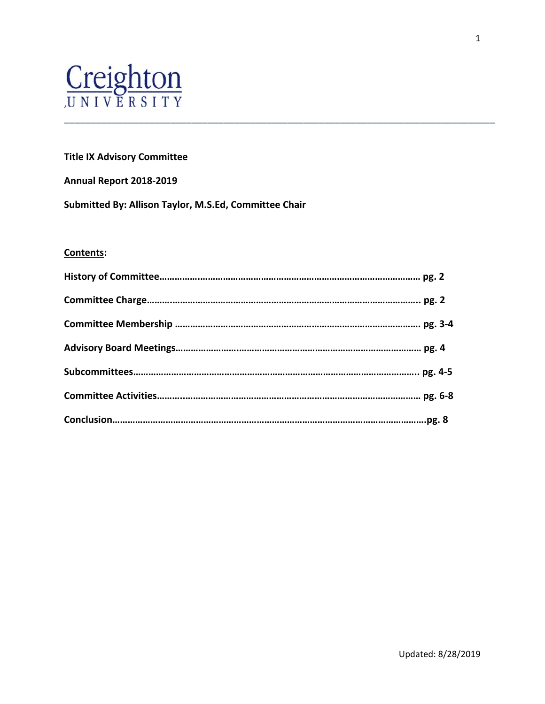# Creighton

# **Title IX Advisory Committee**

#### **Annual Report 2018‐2019**

**Submitted By: Allison Taylor, M.S.Ed, Committee Chair**

# **Contents:**

\_\_\_\_\_\_\_\_\_\_\_\_\_\_\_\_\_\_\_\_\_\_\_\_\_\_\_\_\_\_\_\_\_\_\_\_\_\_\_\_\_\_\_\_\_\_\_\_\_\_\_\_\_\_\_\_\_\_\_\_\_\_\_\_\_\_\_\_\_\_\_\_\_\_\_\_\_\_\_\_\_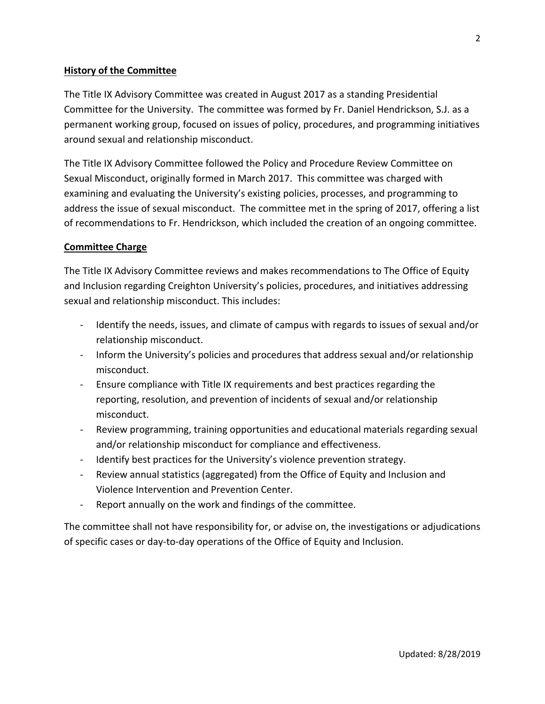# **History of the Committee**

The Title IX Advisory Committee was created in August 2017 as a standing Presidential Committee for the University. The committee was formed by Fr. Daniel Hendrickson, S.J. as a permanent working group, focused on issues of policy, procedures, and programming initiatives around sexual and relationship misconduct.

The Title IX Advisory Committee followed the Policy and Procedure Review Committee on Sexual Misconduct, originally formed in March 2017. This committee was charged with examining and evaluating the University's existing policies, processes, and programming to address the issue of sexual misconduct. The committee met in the spring of 2017, offering a list of recommendations to Fr. Hendrickson, which included the creation of an ongoing committee.

#### **Committee Charge**

The Title IX Advisory Committee reviews and makes recommendations to The Office of Equity and Inclusion regarding Creighton University's policies, procedures, and initiatives addressing sexual and relationship misconduct. This includes:

- ‐ Identify the needs, issues, and climate of campus with regards to issues of sexual and/or relationship misconduct.
- ‐ Inform the University's policies and procedures that address sexual and/or relationship misconduct.
- ‐ Ensure compliance with Title IX requirements and best practices regarding the reporting, resolution, and prevention of incidents of sexual and/or relationship misconduct.
- ‐ Review programming, training opportunities and educational materials regarding sexual and/or relationship misconduct for compliance and effectiveness.
- Identify best practices for the University's violence prevention strategy.
- ‐ Review annual statistics (aggregated) from the Office of Equity and Inclusion and Violence Intervention and Prevention Center.
- ‐ Report annually on the work and findings of the committee.

The committee shall not have responsibility for, or advise on, the investigations or adjudications of specific cases or day‐to‐day operations of the Office of Equity and Inclusion.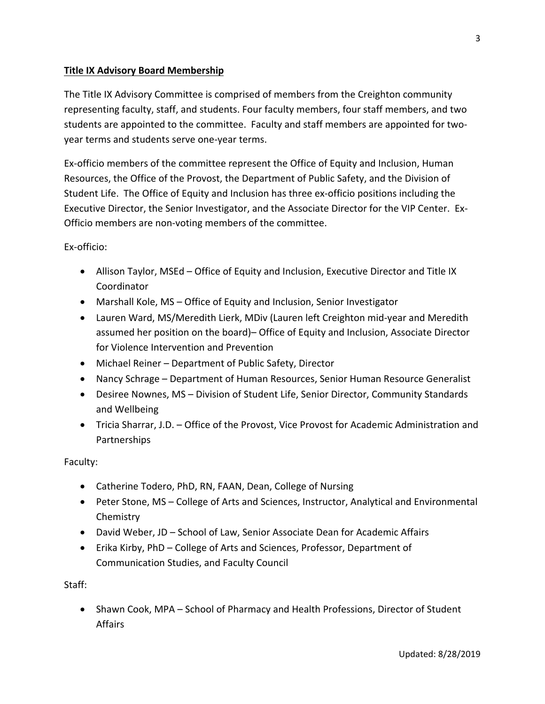# **Title IX Advisory Board Membership**

The Title IX Advisory Committee is comprised of members from the Creighton community representing faculty, staff, and students. Four faculty members, four staff members, and two students are appointed to the committee. Faculty and staff members are appointed for two‐ year terms and students serve one‐year terms.

Ex‐officio members of the committee represent the Office of Equity and Inclusion, Human Resources, the Office of the Provost, the Department of Public Safety, and the Division of Student Life. The Office of Equity and Inclusion has three ex‐officio positions including the Executive Director, the Senior Investigator, and the Associate Director for the VIP Center. Ex‐ Officio members are non‐voting members of the committee.

Ex‐officio:

- Allison Taylor, MSEd Office of Equity and Inclusion, Executive Director and Title IX **Coordinator**
- Marshall Kole, MS Office of Equity and Inclusion, Senior Investigator
- Lauren Ward, MS/Meredith Lierk, MDiv (Lauren left Creighton mid‐year and Meredith assumed her position on the board)– Office of Equity and Inclusion, Associate Director for Violence Intervention and Prevention
- Michael Reiner Department of Public Safety, Director
- Nancy Schrage Department of Human Resources, Senior Human Resource Generalist
- Desiree Nownes, MS Division of Student Life, Senior Director, Community Standards and Wellbeing
- Tricia Sharrar, J.D. Office of the Provost, Vice Provost for Academic Administration and Partnerships

Faculty:

- Catherine Todero, PhD, RN, FAAN, Dean, College of Nursing
- Peter Stone, MS College of Arts and Sciences, Instructor, Analytical and Environmental **Chemistry**
- David Weber, JD School of Law, Senior Associate Dean for Academic Affairs
- Erika Kirby, PhD College of Arts and Sciences, Professor, Department of Communication Studies, and Faculty Council

Staff:

• Shawn Cook, MPA – School of Pharmacy and Health Professions, Director of Student Affairs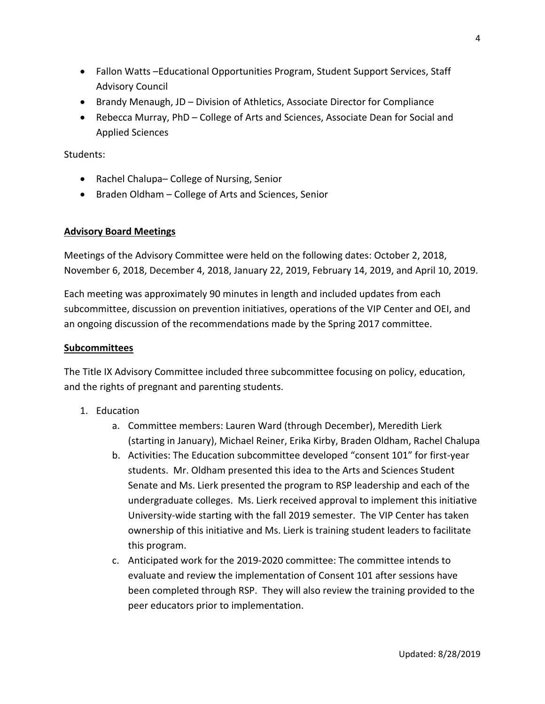- Fallon Watts –Educational Opportunities Program, Student Support Services, Staff Advisory Council
- Brandy Menaugh, JD Division of Athletics, Associate Director for Compliance
- Rebecca Murray, PhD College of Arts and Sciences, Associate Dean for Social and Applied Sciences

Students:

- Rachel Chalupa– College of Nursing, Senior
- Braden Oldham College of Arts and Sciences, Senior

#### **Advisory Board Meetings**

Meetings of the Advisory Committee were held on the following dates: October 2, 2018, November 6, 2018, December 4, 2018, January 22, 2019, February 14, 2019, and April 10, 2019.

Each meeting was approximately 90 minutes in length and included updates from each subcommittee, discussion on prevention initiatives, operations of the VIP Center and OEI, and an ongoing discussion of the recommendations made by the Spring 2017 committee.

#### **Subcommittees**

The Title IX Advisory Committee included three subcommittee focusing on policy, education, and the rights of pregnant and parenting students.

- 1. Education
	- a. Committee members: Lauren Ward (through December), Meredith Lierk (starting in January), Michael Reiner, Erika Kirby, Braden Oldham, Rachel Chalupa
	- b. Activities: The Education subcommittee developed "consent 101" for first‐year students. Mr. Oldham presented this idea to the Arts and Sciences Student Senate and Ms. Lierk presented the program to RSP leadership and each of the undergraduate colleges. Ms. Lierk received approval to implement this initiative University‐wide starting with the fall 2019 semester. The VIP Center has taken ownership of this initiative and Ms. Lierk is training student leaders to facilitate this program.
	- c. Anticipated work for the 2019‐2020 committee: The committee intends to evaluate and review the implementation of Consent 101 after sessions have been completed through RSP. They will also review the training provided to the peer educators prior to implementation.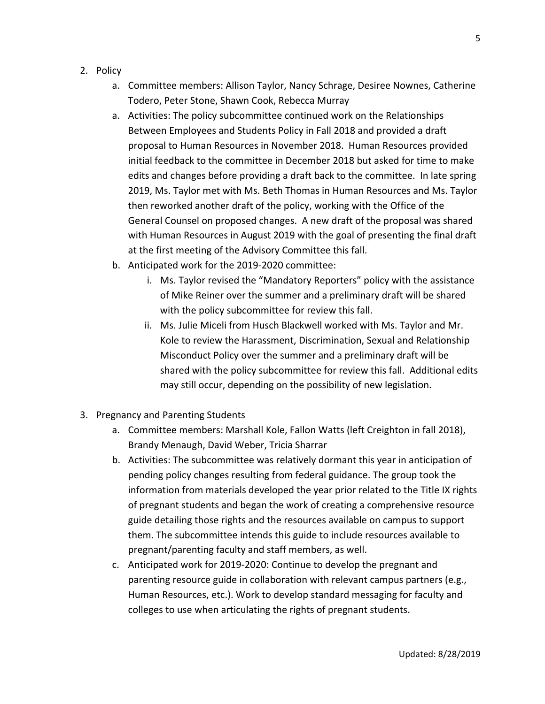- 2. Policy
	- a. Committee members: Allison Taylor, Nancy Schrage, Desiree Nownes, Catherine Todero, Peter Stone, Shawn Cook, Rebecca Murray
	- a. Activities: The policy subcommittee continued work on the Relationships Between Employees and Students Policy in Fall 2018 and provided a draft proposal to Human Resources in November 2018. Human Resources provided initial feedback to the committee in December 2018 but asked for time to make edits and changes before providing a draft back to the committee. In late spring 2019, Ms. Taylor met with Ms. Beth Thomas in Human Resources and Ms. Taylor then reworked another draft of the policy, working with the Office of the General Counsel on proposed changes. A new draft of the proposal was shared with Human Resources in August 2019 with the goal of presenting the final draft at the first meeting of the Advisory Committee this fall.
	- b. Anticipated work for the 2019‐2020 committee:
		- i. Ms. Taylor revised the "Mandatory Reporters" policy with the assistance of Mike Reiner over the summer and a preliminary draft will be shared with the policy subcommittee for review this fall.
		- ii. Ms. Julie Miceli from Husch Blackwell worked with Ms. Taylor and Mr. Kole to review the Harassment, Discrimination, Sexual and Relationship Misconduct Policy over the summer and a preliminary draft will be shared with the policy subcommittee for review this fall. Additional edits may still occur, depending on the possibility of new legislation.
- 3. Pregnancy and Parenting Students
	- a. Committee members: Marshall Kole, Fallon Watts (left Creighton in fall 2018), Brandy Menaugh, David Weber, Tricia Sharrar
	- b. Activities: The subcommittee was relatively dormant this year in anticipation of pending policy changes resulting from federal guidance. The group took the information from materials developed the year prior related to the Title IX rights of pregnant students and began the work of creating a comprehensive resource guide detailing those rights and the resources available on campus to support them. The subcommittee intends this guide to include resources available to pregnant/parenting faculty and staff members, as well.
	- c. Anticipated work for 2019‐2020: Continue to develop the pregnant and parenting resource guide in collaboration with relevant campus partners (e.g., Human Resources, etc.). Work to develop standard messaging for faculty and colleges to use when articulating the rights of pregnant students.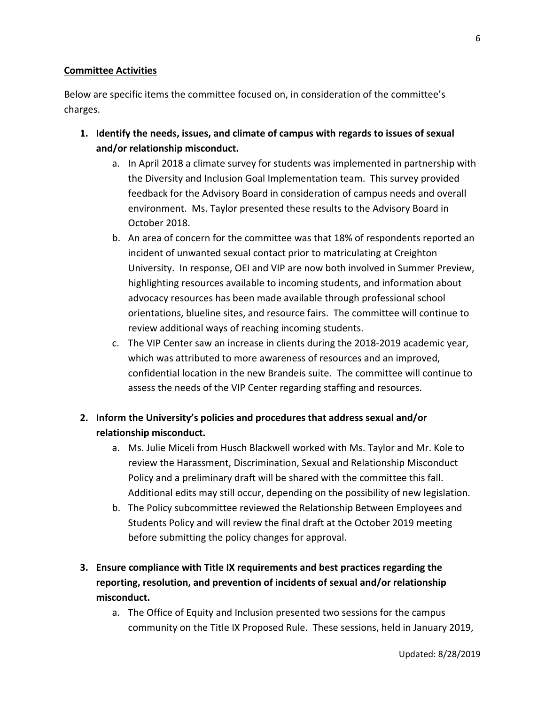#### **Committee Activities**

Below are specific items the committee focused on, in consideration of the committee's charges.

- **1. Identify the needs, issues, and climate of campus with regards to issues of sexual and/or relationship misconduct.** 
	- a. In April 2018 a climate survey for students was implemented in partnership with the Diversity and Inclusion Goal Implementation team. This survey provided feedback for the Advisory Board in consideration of campus needs and overall environment. Ms. Taylor presented these results to the Advisory Board in October 2018.
	- b. An area of concern for the committee was that 18% of respondents reported an incident of unwanted sexual contact prior to matriculating at Creighton University. In response, OEI and VIP are now both involved in Summer Preview, highlighting resources available to incoming students, and information about advocacy resources has been made available through professional school orientations, blueline sites, and resource fairs. The committee will continue to review additional ways of reaching incoming students.
	- c. The VIP Center saw an increase in clients during the 2018‐2019 academic year, which was attributed to more awareness of resources and an improved, confidential location in the new Brandeis suite. The committee will continue to assess the needs of the VIP Center regarding staffing and resources.

# **2. Inform the University's policies and procedures that address sexual and/or relationship misconduct.**

- a. Ms. Julie Miceli from Husch Blackwell worked with Ms. Taylor and Mr. Kole to review the Harassment, Discrimination, Sexual and Relationship Misconduct Policy and a preliminary draft will be shared with the committee this fall. Additional edits may still occur, depending on the possibility of new legislation.
- b. The Policy subcommittee reviewed the Relationship Between Employees and Students Policy and will review the final draft at the October 2019 meeting before submitting the policy changes for approval.

# **3. Ensure compliance with Title IX requirements and best practices regarding the reporting, resolution, and prevention of incidents of sexual and/or relationship misconduct.**

a. The Office of Equity and Inclusion presented two sessions for the campus community on the Title IX Proposed Rule. These sessions, held in January 2019,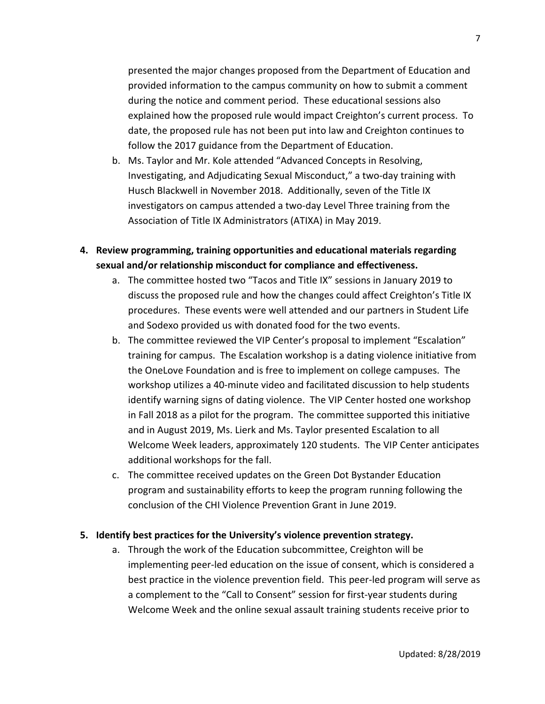presented the major changes proposed from the Department of Education and provided information to the campus community on how to submit a comment during the notice and comment period. These educational sessions also explained how the proposed rule would impact Creighton's current process. To date, the proposed rule has not been put into law and Creighton continues to follow the 2017 guidance from the Department of Education.

- b. Ms. Taylor and Mr. Kole attended "Advanced Concepts in Resolving, Investigating, and Adjudicating Sexual Misconduct," a two‐day training with Husch Blackwell in November 2018. Additionally, seven of the Title IX investigators on campus attended a two‐day Level Three training from the Association of Title IX Administrators (ATIXA) in May 2019.
- **4. Review programming, training opportunities and educational materials regarding sexual and/or relationship misconduct for compliance and effectiveness.** 
	- a. The committee hosted two "Tacos and Title IX" sessions in January 2019 to discuss the proposed rule and how the changes could affect Creighton's Title IX procedures. These events were well attended and our partners in Student Life and Sodexo provided us with donated food for the two events.
	- b. The committee reviewed the VIP Center's proposal to implement "Escalation" training for campus. The Escalation workshop is a dating violence initiative from the OneLove Foundation and is free to implement on college campuses. The workshop utilizes a 40‐minute video and facilitated discussion to help students identify warning signs of dating violence. The VIP Center hosted one workshop in Fall 2018 as a pilot for the program. The committee supported this initiative and in August 2019, Ms. Lierk and Ms. Taylor presented Escalation to all Welcome Week leaders, approximately 120 students. The VIP Center anticipates additional workshops for the fall.
	- c. The committee received updates on the Green Dot Bystander Education program and sustainability efforts to keep the program running following the conclusion of the CHI Violence Prevention Grant in June 2019.

#### **5. Identify best practices for the University's violence prevention strategy.**

a. Through the work of the Education subcommittee, Creighton will be implementing peer‐led education on the issue of consent, which is considered a best practice in the violence prevention field. This peer-led program will serve as a complement to the "Call to Consent" session for first‐year students during Welcome Week and the online sexual assault training students receive prior to